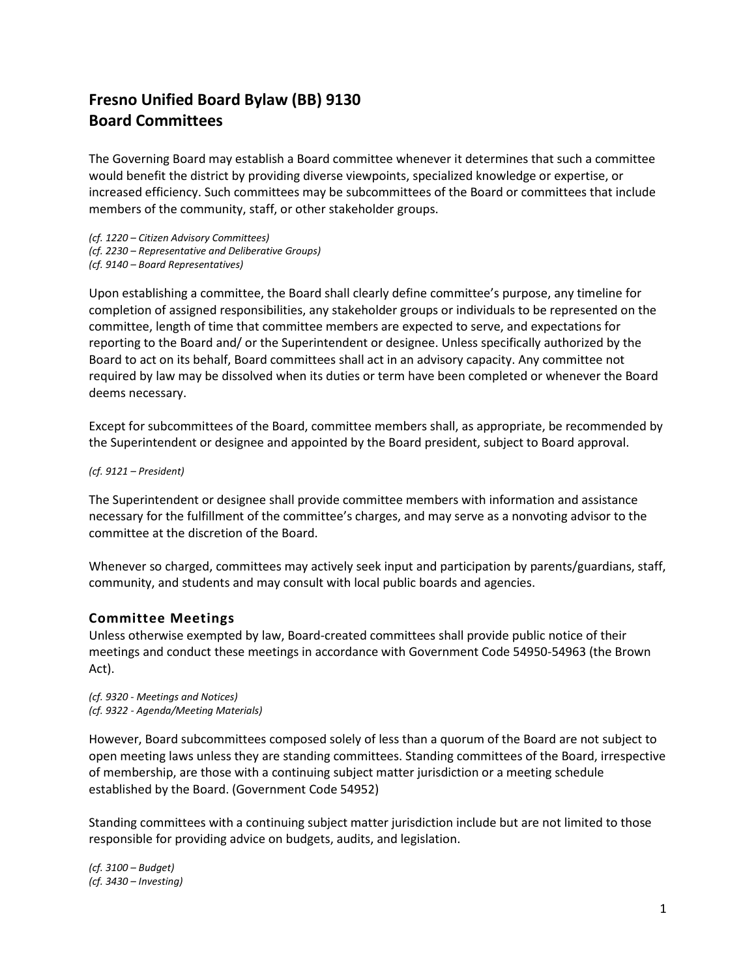## **Fresno Unified Board Bylaw (BB) 9130 Board Committees**

The Governing Board may establish a Board committee whenever it determines that such a committee would benefit the district by providing diverse viewpoints, specialized knowledge or expertise, or increased efficiency. Such committees may be subcommittees of the Board or committees that include members of the community, staff, or other stakeholder groups.

*(cf. 1220 – Citizen Advisory Committees) (cf. 2230 – Representative and Deliberative Groups) (cf. 9140 – Board Representatives)* 

Upon establishing a committee, the Board shall clearly define committee's purpose, any timeline for completion of assigned responsibilities, any stakeholder groups or individuals to be represented on the committee, length of time that committee members are expected to serve, and expectations for reporting to the Board and/ or the Superintendent or designee. Unless specifically authorized by the Board to act on its behalf, Board committees shall act in an advisory capacity. Any committee not required by law may be dissolved when its duties or term have been completed or whenever the Board deems necessary.

Except for subcommittees of the Board, committee members shall, as appropriate, be recommended by the Superintendent or designee and appointed by the Board president, subject to Board approval.

*(cf. 9121 – President)* 

The Superintendent or designee shall provide committee members with information and assistance necessary for the fulfillment of the committee's charges, and may serve as a nonvoting advisor to the committee at the discretion of the Board.

Whenever so charged, committees may actively seek input and participation by parents/guardians, staff, community, and students and may consult with local public boards and agencies.

## **Committee Meetings**

Unless otherwise exempted by law, Board-created committees shall provide public notice of their meetings and conduct these meetings in accordance with Government Code 54950-54963 (the Brown Act).

*(cf. 9320 - Meetings and Notices) (cf. 9322 - Agenda/Meeting Materials)* 

However, Board subcommittees composed solely of less than a quorum of the Board are not subject to open meeting laws unless they are standing committees. Standing committees of the Board, irrespective of membership, are those with a continuing subject matter jurisdiction or a meeting schedule established by the Board. (Government Code 54952)

Standing committees with a continuing subject matter jurisdiction include but are not limited to those responsible for providing advice on budgets, audits, and legislation.

*(cf. 3100 – Budget) (cf. 3430 – Investing)*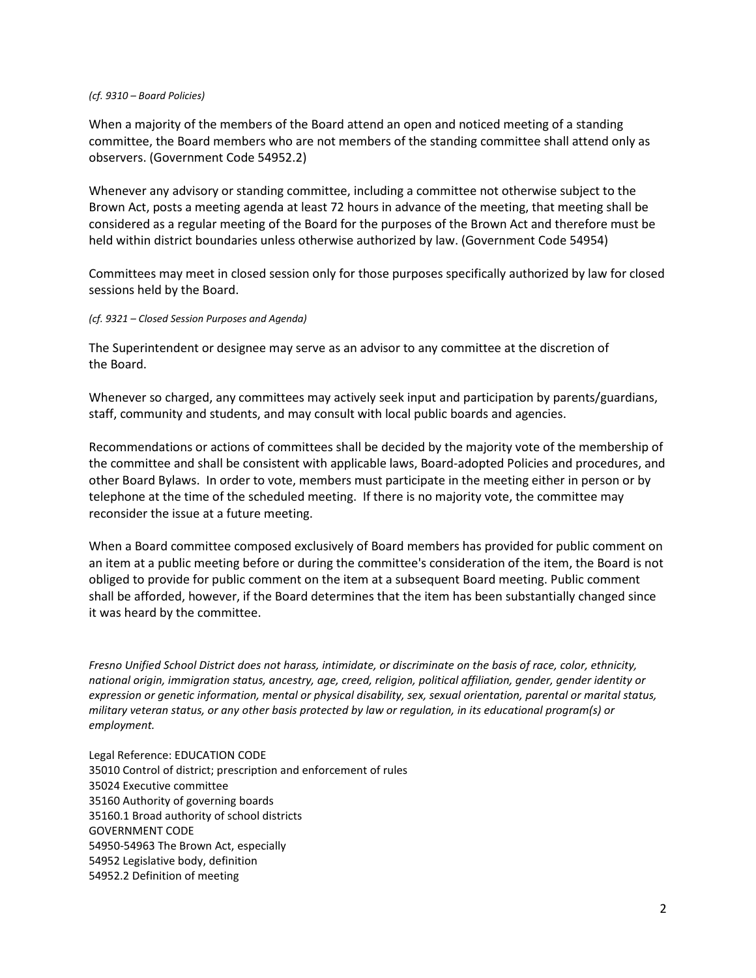## *(cf. 9310 – Board Policies)*

When a majority of the members of the Board attend an open and noticed meeting of a standing committee, the Board members who are not members of the standing committee shall attend only as observers. (Government Code 54952.2)

Whenever any advisory or standing committee, including a committee not otherwise subject to the Brown Act, posts a meeting agenda at least 72 hours in advance of the meeting, that meeting shall be considered as a regular meeting of the Board for the purposes of the Brown Act and therefore must be held within district boundaries unless otherwise authorized by law. (Government Code 54954)

Committees may meet in closed session only for those purposes specifically authorized by law for closed sessions held by the Board.

## *(cf. 9321 – Closed Session Purposes and Agenda)*

The Superintendent or designee may serve as an advisor to any committee at the discretion of the Board.

Whenever so charged, any committees may actively seek input and participation by parents/guardians, staff, community and students, and may consult with local public boards and agencies.

Recommendations or actions of committees shall be decided by the majority vote of the membership of the committee and shall be consistent with applicable laws, Board-adopted Policies and procedures, and other Board Bylaws. In order to vote, members must participate in the meeting either in person or by telephone at the time of the scheduled meeting. If there is no majority vote, the committee may reconsider the issue at a future meeting.

When a Board committee composed exclusively of Board members has provided for public comment on an item at a public meeting before or during the committee's consideration of the item, the Board is not obliged to provide for public comment on the item at a subsequent Board meeting. Public comment shall be afforded, however, if the Board determines that the item has been substantially changed since it was heard by the committee.

*Fresno Unified School District does not harass, intimidate, or discriminate on the basis of race, color, ethnicity, national origin, immigration status, ancestry, age, creed, religion, political affiliation, gender, gender identity or expression or genetic information, mental or physical disability, sex, sexual orientation, parental or marital status, military veteran status, or any other basis protected by law or regulation, in its educational program(s) or employment.* 

Legal Reference: EDUCATION CODE 35010 Control of district; prescription and enforcement of rules 35024 Executive committee 35160 Authority of governing boards 35160.1 Broad authority of school districts GOVERNMENT CODE 54950-54963 The Brown Act, especially 54952 Legislative body, definition 54952.2 Definition of meeting